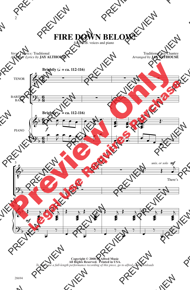## **FIRE DOWN BELOW!**

for T.B.B. voices and piano\*

*Verse 1 Lyrics:* Traditional *All Other Lyrics by* **JAY ALTHOUSE**

Traditional Sea Chantey *Arranged by* **JAY ALTHOUSE**



Copyright © 2008 by Alfred Music **All Rights Reserved. Printed in USA. All Rights Reserved. Printed in USA.** *To purchase a full-length performance recording of this piece, go to alfred.com/downloads To purchase a full-length performance recording of this piece, go to alfred.com/downloads*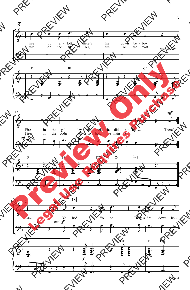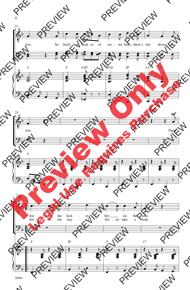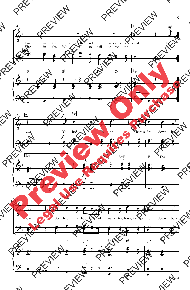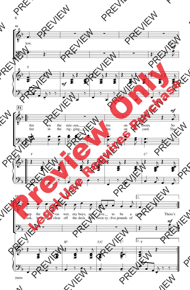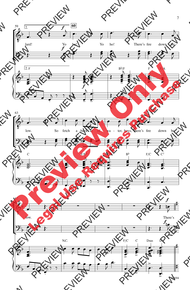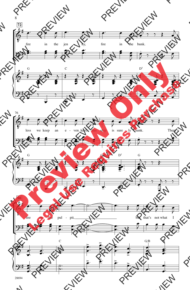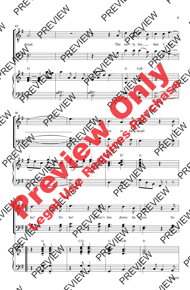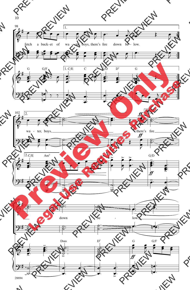